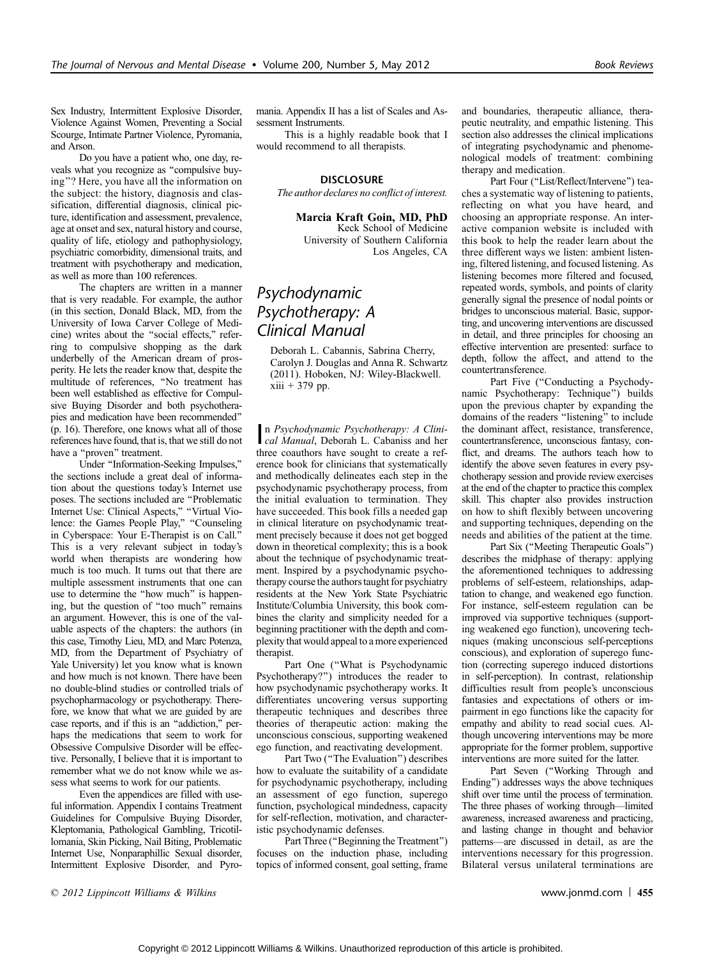Sex Industry, Intermittent Explosive Disorder, Violence Against Women, Preventing a Social Scourge, Intimate Partner Violence, Pyromania, and Arson.

Do you have a patient who, one day, reveals what you recognize as ''compulsive buying''? Here, you have all the information on the subject: the history, diagnosis and classification, differential diagnosis, clinical picture, identification and assessment, prevalence, age at onset and sex, natural history and course, quality of life, etiology and pathophysiology, psychiatric comorbidity, dimensional traits, and treatment with psychotherapy and medication, as well as more than 100 references.

The chapters are written in a manner that is very readable. For example, the author (in this section, Donald Black, MD, from the University of Iowa Carver College of Medicine) writes about the ''social effects,'' referring to compulsive shopping as the dark underbelly of the American dream of prosperity. He lets the reader know that, despite the multitude of references, ''No treatment has been well established as effective for Compulsive Buying Disorder and both psychotherapies and medication have been recommended'' (p. 16). Therefore, one knows what all of those references have found, that is, that we still do not have a "proven" treatment.

Under ''Information-Seeking Impulses,'' the sections include a great deal of information about the questions today's Internet use poses. The sections included are ''Problematic Internet Use: Clinical Aspects," "Virtual Violence: the Games People Play," "Counseling in Cyberspace: Your E-Therapist is on Call.'' This is a very relevant subject in today's world when therapists are wondering how much is too much. It turns out that there are multiple assessment instruments that one can use to determine the ''how much'' is happening, but the question of ''too much'' remains an argument. However, this is one of the valuable aspects of the chapters: the authors (in this case, Timothy Lieu, MD, and Marc Potenza, MD, from the Department of Psychiatry of Yale University) let you know what is known and how much is not known. There have been no double-blind studies or controlled trials of psychopharmacology or psychotherapy. Therefore, we know that what we are guided by are case reports, and if this is an ''addiction,'' perhaps the medications that seem to work for Obsessive Compulsive Disorder will be effective. Personally, I believe that it is important to remember what we do not know while we assess what seems to work for our patients.

Even the appendices are filled with useful information. Appendix I contains Treatment Guidelines for Compulsive Buying Disorder, Kleptomania, Pathological Gambling, Tricotillomania, Skin Picking, Nail Biting, Problematic Internet Use, Nonparaphillic Sexual disorder, Intermittent Explosive Disorder, and Pyromania. Appendix II has a list of Scales and Assessment Instruments.

This is a highly readable book that I would recommend to all therapists.

## **DISCLOSURE**

The author declares no conflict of interest.

Marcia Kraft Goin, MD, PhD Keck School of Medicine University of Southern California Los Angeles, CA

## Psychodynamic Psychotherapy: A Clinical Manual

Deborah L. Cabannis, Sabrina Cherry, Carolyn J. Douglas and Anna R. Schwartz (2011). Hoboken, NJ: Wiley-Blackwell.  $xiii + 379$  pp.

n Psychodynamic Psychotherapy: A Clini-<br>cal Manual, Deborah L. Cabaniss and her n Psychodynamic Psychotherapy: A Clinithree coauthors have sought to create a reference book for clinicians that systematically and methodically delineates each step in the psychodynamic psychotherapy process, from the initial evaluation to termination. They have succeeded. This book fills a needed gap in clinical literature on psychodynamic treatment precisely because it does not get bogged down in theoretical complexity; this is a book about the technique of psychodynamic treatment. Inspired by a psychodynamic psychotherapy course the authors taught for psychiatry residents at the New York State Psychiatric Institute/Columbia University, this book combines the clarity and simplicity needed for a beginning practitioner with the depth and complexity that would appeal to a more experienced therapist.

Part One ("What is Psychodynamic Psychotherapy?'') introduces the reader to how psychodynamic psychotherapy works. It differentiates uncovering versus supporting therapeutic techniques and describes three theories of therapeutic action: making the unconscious conscious, supporting weakened ego function, and reactivating development.

Part Two ("The Evaluation") describes how to evaluate the suitability of a candidate for psychodynamic psychotherapy, including an assessment of ego function, superego function, psychological mindedness, capacity for self-reflection, motivation, and characteristic psychodynamic defenses.

Part Three ("Beginning the Treatment") focuses on the induction phase, including topics of informed consent, goal setting, frame and boundaries, therapeutic alliance, therapeutic neutrality, and empathic listening. This section also addresses the clinical implications of integrating psychodynamic and phenomenological models of treatment: combining therapy and medication.

Part Four ("List/Reflect/Intervene") teaches a systematic way of listening to patients, reflecting on what you have heard, and choosing an appropriate response. An interactive companion website is included with this book to help the reader learn about the three different ways we listen: ambient listening, filtered listening, and focused listening. As listening becomes more filtered and focused, repeated words, symbols, and points of clarity generally signal the presence of nodal points or bridges to unconscious material. Basic, supporting, and uncovering interventions are discussed in detail, and three principles for choosing an effective intervention are presented: surface to depth, follow the affect, and attend to the countertransference.

Part Five ("Conducting a Psychodynamic Psychotherapy: Technique'') builds upon the previous chapter by expanding the domains of the readers ''listening'' to include the dominant affect, resistance, transference, countertransference, unconscious fantasy, conflict, and dreams. The authors teach how to identify the above seven features in every psychotherapy session and provide review exercises at the end of the chapter to practice this complex skill. This chapter also provides instruction on how to shift flexibly between uncovering and supporting techniques, depending on the needs and abilities of the patient at the time.

Part Six (''Meeting Therapeutic Goals'') describes the midphase of therapy: applying the aforementioned techniques to addressing problems of self-esteem, relationships, adaptation to change, and weakened ego function. For instance, self-esteem regulation can be improved via supportive techniques (supporting weakened ego function), uncovering techniques (making unconscious self-perceptions conscious), and exploration of superego function (correcting superego induced distortions in self-perception). In contrast, relationship difficulties result from people's unconscious fantasies and expectations of others or impairment in ego functions like the capacity for empathy and ability to read social cues. Although uncovering interventions may be more appropriate for the former problem, supportive interventions are more suited for the latter.

Part Seven ("Working Through and Ending'') addresses ways the above techniques shift over time until the process of termination. The three phases of working through-limited awareness, increased awareness and practicing, and lasting change in thought and behavior patterns—are discussed in detail, as are the interventions necessary for this progression. Bilateral versus unilateral terminations are